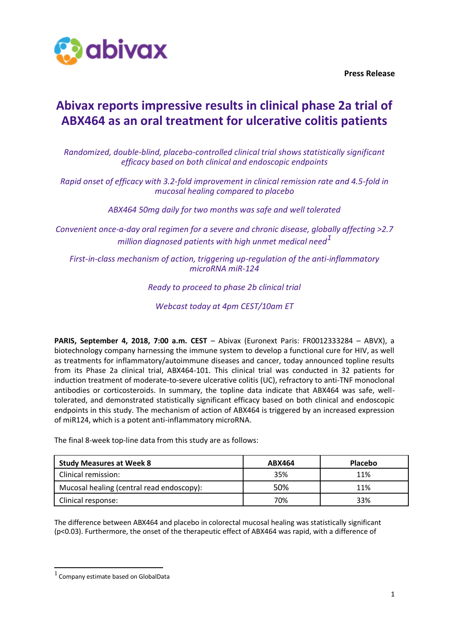

**Press Release**

# **Abivax reports impressive results in clinical phase 2a trial of ABX464 as an oral treatment for ulcerative colitis patients**

*Randomized, double-blind, placebo-controlled clinical trial shows statistically significant efficacy based on both clinical and endoscopic endpoints*

*Rapid onset of efficacy with 3.2-fold improvement in clinical remission rate and 4.5-fold in mucosal healing compared to placebo*

*ABX464 50mg daily for two months was safe and well tolerated*

*Convenient once-a-day oral regimen for a severe and chronic disease, globally affecting >2.7 million diagnosed patients with high unmet medical need<sup>1</sup>*

*First-in-class mechanism of action, triggering up-regulation of the anti-inflammatory microRNA miR-124*

# *Ready to proceed to phase 2b clinical trial*

*Webcast today at 4pm CEST/10am ET*

**PARIS, September 4, 2018, 7:00 a.m. CEST** – Abivax (Euronext Paris: FR0012333284 – ABVX), a biotechnology company harnessing the immune system to develop a functional cure for HIV, as well as treatments for inflammatory/autoimmune diseases and cancer, today announced topline results from its Phase 2a clinical trial, ABX464-101. This clinical trial was conducted in 32 patients for induction treatment of moderate-to-severe ulcerative colitis (UC), refractory to anti-TNF monoclonal antibodies or corticosteroids. In summary, the topline data indicate that ABX464 was safe, welltolerated, and demonstrated statistically significant efficacy based on both clinical and endoscopic endpoints in this study. The mechanism of action of ABX464 is triggered by an increased expression of miR124, which is a potent anti-inflammatory microRNA.

The final 8-week top-line data from this study are as follows:

| <b>Study Measures at Week 8</b>           | ABX464 | <b>Placebo</b> |
|-------------------------------------------|--------|----------------|
| Clinical remission:                       | 35%    | 11%            |
| Mucosal healing (central read endoscopy): | 50%    | 11%            |
| Clinical response:                        | 70%    | 33%            |

The difference between ABX464 and placebo in colorectal mucosal healing was statistically significant (p<0.03). Furthermore, the onset of the therapeutic effect of ABX464 was rapid, with a difference of

 $<sup>1</sup>$  Company estimate based on GlobalData</sup>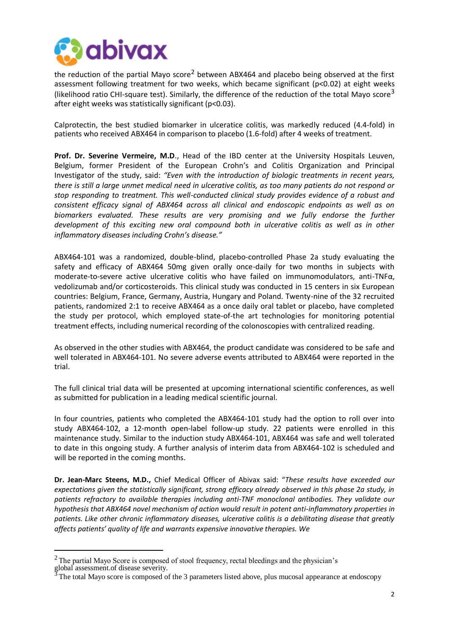

the reduction of the partial Mayo score<sup>2</sup> between ABX464 and placebo being observed at the first assessment following treatment for two weeks, which became significant (p<0.02) at eight weeks (likelihood ratio CHI-square test). Similarly, the difference of the reduction of the total Mayo score<sup>3</sup> after eight weeks was statistically significant (p<0.03).

Calprotectin, the best studied biomarker in ulceratice colitis, was markedly reduced (4.4-fold) in patients who received ABX464 in comparison to placebo (1.6-fold) after 4 weeks of treatment.

**Prof. Dr. Severine Vermeire, M.D**., Head of the IBD center at the University Hospitals Leuven, Belgium, former President of the European Crohn's and Colitis Organization and Principal Investigator of the study, said: *"Even with the introduction of biologic treatments in recent years, there is still a large unmet medical need in ulcerative colitis, as too many patients do not respond or stop responding to treatment. This well-conducted clinical study provides evidence of a robust and consistent efficacy signal of ABX464 across all clinical and endoscopic endpoints as well as on biomarkers evaluated. These results are very promising and we fully endorse the further development of this exciting new oral compound both in ulcerative colitis as well as in other inflammatory diseases including Crohn's disease."*

ABX464-101 was a randomized, double-blind, placebo-controlled Phase 2a study evaluating the safety and efficacy of ABX464 50mg given orally once-daily for two months in subjects with moderate-to-severe active ulcerative colitis who have failed on immunomodulators, anti-TNFα, vedolizumab and/or corticosteroids. This clinical study was conducted in 15 centers in six European countries: Belgium, France, Germany, Austria, Hungary and Poland. Twenty-nine of the 32 recruited patients, randomized 2:1 to receive ABX464 as a once daily oral tablet or placebo, have completed the study per protocol, which employed state-of-the art technologies for monitoring potential treatment effects, including numerical recording of the colonoscopies with centralized reading.

As observed in the other studies with ABX464, the product candidate was considered to be safe and well tolerated in ABX464-101. No severe adverse events attributed to ABX464 were reported in the trial.

The full clinical trial data will be presented at upcoming international scientific conferences, as well as submitted for publication in a leading medical scientific journal.

In four countries, patients who completed the ABX464-101 study had the option to roll over into study ABX464-102, a 12-month open-label follow-up study. 22 patients were enrolled in this maintenance study. Similar to the induction study ABX464-101, ABX464 was safe and well tolerated to date in this ongoing study. A further analysis of interim data from ABX464-102 is scheduled and will be reported in the coming months.

**Dr. Jean-Marc Steens, M.D.,** Chief Medical Officer of Abivax said: "*These results have exceeded our expectations given the statistically significant, strong efficacy already observed in this phase 2a study, in patients refractory to available therapies including anti-TNF monoclonal antibodies. They validate our hypothesis that ABX464 novel mechanism of action would result in potent anti-inflammatory properties in patients. Like other chronic inflammatory diseases, ulcerative colitis is a debilitating disease that greatly affects patients' quality of life and warrants expensive innovative therapies. We*

 $2$  The partial Mayo Score is composed of stool frequency, rectal bleedings and the physician's

global assessment.of disease severity.

The total Mayo score is composed of the 3 parameters listed above, plus mucosal appearance at endoscopy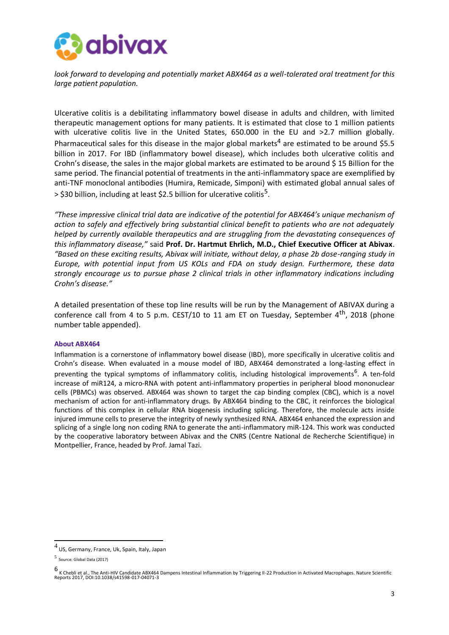

*look forward to developing and potentially market ABX464 as a well-tolerated oral treatment for this large patient population.*

Ulcerative colitis is a debilitating inflammatory bowel disease in adults and children, with limited therapeutic management options for many patients. It is estimated that close to 1 million patients with ulcerative colitis live in the United States, 650.000 in the EU and >2.7 million globally. Pharmaceutical sales for this disease in the major global markets<sup>4</sup> are estimated to be around \$5.5 billion in 2017. For IBD (inflammatory bowel disease), which includes both ulcerative colitis and Crohn's disease, the sales in the major global markets are estimated to be around \$ 15 Billion for the same period. The financial potential of treatments in the anti-inflammatory space are exemplified by anti-TNF monoclonal antibodies (Humira, Remicade, Simponi) with estimated global annual sales of  $>$  \$30 billion, including at least \$2.5 billion for ulcerative colitis $^5$ .

*"These impressive clinical trial data are indicative of the potential for ABX464's unique mechanism of action to safely and effectively bring substantial clinical benefit to patients who are not adequately helped by currently available therapeutics and are struggling from the devastating consequences of this inflammatory disease,"* said **Prof. Dr. Hartmut Ehrlich, M.D., Chief Executive Officer at Abivax**. *"Based on these exciting results, Abivax will initiate, without delay, a phase 2b dose-ranging study in Europe, with potential input from US KOLs and FDA on study design. Furthermore, these data strongly encourage us to pursue phase 2 clinical trials in other inflammatory indications including Crohn's disease."*

A detailed presentation of these top line results will be run by the Management of ABIVAX during a conference call from 4 to 5 p.m. CEST/10 to 11 am ET on Tuesday, September  $4<sup>th</sup>$ , 2018 (phone number table appended).

# **About ABX464**

Inflammation is a cornerstone of inflammatory bowel disease (IBD), more specifically in ulcerative colitis and Crohn's disease. When evaluated in a mouse model of IBD, ABX464 demonstrated a long-lasting effect in preventing the typical symptoms of inflammatory colitis, including histological improvements<sup>6</sup>. A ten-fold increase of miR124, a micro-RNA with potent anti-inflammatory properties in peripheral blood mononuclear cells (PBMCs) was observed. ABX464 was shown to target the cap binding complex (CBC), which is a novel mechanism of action for anti-inflammatory drugs. By ABX464 binding to the CBC, it reinforces the biological functions of this complex in cellular RNA biogenesis including splicing. Therefore, the molecule acts inside injured immune cells to preserve the integrity of newly synthesized RNA. ABX464 enhanced the expression and splicing of a single long non coding RNA to generate the anti-inflammatory miR-124. This work was conducted by the cooperative laboratory between Abivax and the CNRS (Centre National de Recherche Scientifique) in Montpellier, France, headed by Prof. Jamal Tazi.

 $^4$  US, Germany, France, Uk, Spain, Italy, Japan

<sup>5</sup> Source: Global Data (2017)

<sup>6</sup> K Chebli et al., The Anti-HIV Candidate ABX464 Dampens Intestinal Inflammation by Triggering Il-22 Production in Activated Macrophages. Nature Scientific Reports 2017, DOI:10.1038/s41598-017-04071-3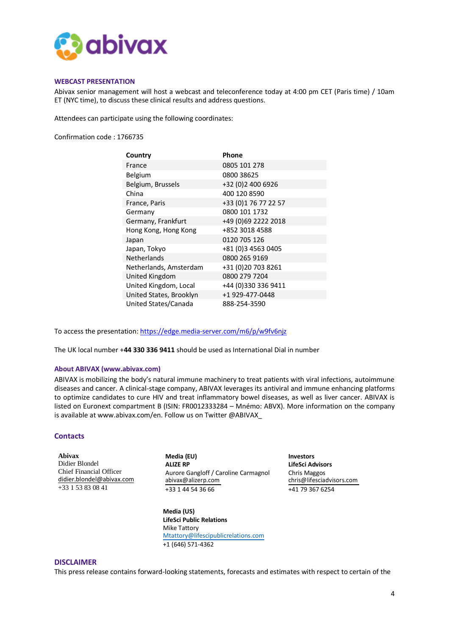

#### **WEBCAST PRESENTATION**

Abivax senior management will host a webcast and teleconference today at 4:00 pm CET (Paris time) / 10am ET (NYC time), to discuss these clinical results and address questions.

Attendees can participate using the following coordinates:

Confirmation code : 1766735

| Country                 | Phone                |
|-------------------------|----------------------|
| France                  | 0805 101 278         |
| Belgium                 | 0800 38625           |
| Belgium, Brussels       | +32 (0)2 400 6926    |
| China                   | 400 120 8590         |
| France, Paris           | +33 (0)1 76 77 22 57 |
| Germany                 | 0800 101 1732        |
| Germany, Frankfurt      | +49 (0)69 2222 2018  |
| Hong Kong, Hong Kong    | +852 3018 4588       |
| Japan                   | 0120 705 126         |
| Japan, Tokyo            | +81 (0)3 4563 0405   |
| <b>Netherlands</b>      | 0800 265 9169        |
| Netherlands, Amsterdam  | +31 (0)20 703 8261   |
| United Kingdom          | 0800 279 7204        |
| United Kingdom, Local   | +44 (0)330 336 9411  |
| United States, Brooklyn | +1 929-477-0448      |
| United States/Canada    | 888-254-3590         |

To access the presentation[: https://edge.media-server.com/m6/p/w9fv6njz](https://edge.media-server.com/m6/p/w9fv6njz)

The UK local number +**44 330 336 9411** should be used as International Dial in number

# **About ABIVAX [\(www.abivax.com\)](http://www.abivax.com/)**

ABIVAX is mobilizing the body's natural immune machinery to treat patients with viral infections, autoimmune diseases and cancer. A clinical-stage company, ABIVAX leverages its antiviral and immune enhancing platforms to optimize candidates to cure HIV and treat inflammatory bowel diseases, as well as liver cancer. ABIVAX is listed on Euronext compartment B (ISIN: FR0012333284 – Mnémo: ABVX). More information on the company is available at www.abivax.com/en. Follow us on Twitter @ABIVAX\_

## **Contacts**

**Abivax** Didier Blondel Chief Financial Officer [didier.blondel@abivax.com](mailto:didier.blondel@abivax.com) +33 1 53 83 08 41

**Media (EU) Investors** Aurore Gangloff / Caroline Carmagnol Chris Maggos<br>abivax@alizerp.com chris@lifescia +33 1 44 54 36 66 +41 79 367 6254

**Media (US) LifeSci Public Relations** Mike Tattory [Mtattory@lifescipublicrelations.com](mailto:Mtattory@lifescipublicrelations.com) +1 (646) 571-4362

**LifeSci Advisors** [chris@lifesciadvisors.com](mailto:chris@lifesciadvisors.com)

#### **DISCLAIMER**

This press release contains forward-looking statements, forecasts and estimates with respect to certain of the